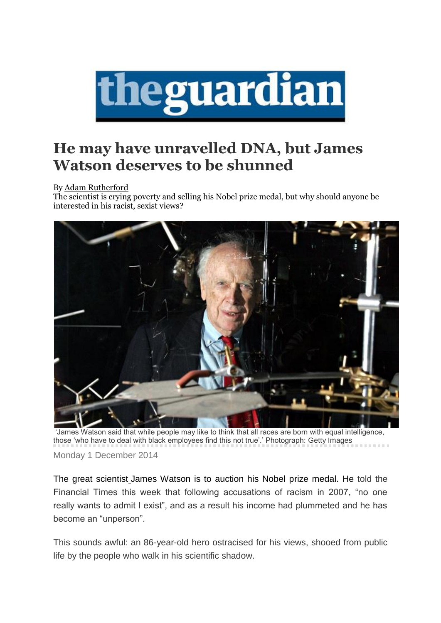

## **He may have unravelled DNA, but James Watson deserves to be shunned**

## By [Adam Rutherford](http://www.theguardian.com/profile/adamrutherford)

The scientist is crying poverty and selling his Nobel prize medal, but why should anyone be interested in his racist, sexist views?



"James Watson said that while people may like to think that all races are born with equal intelligence, those 'who have to deal with black employees find this not true'.' Photograph: Getty Images

Monday 1 December 2014

The great scientist James Watson is to auction his Nobel prize medal. He told the Financial Times this week that following accusations of racism in 2007, "no one really wants to admit I exist", and as a result his income had plummeted and he has become an "unperson".

This sounds awful: an 86-year-old hero ostracised for his views, shooed from public life by the people who walk in his scientific shadow.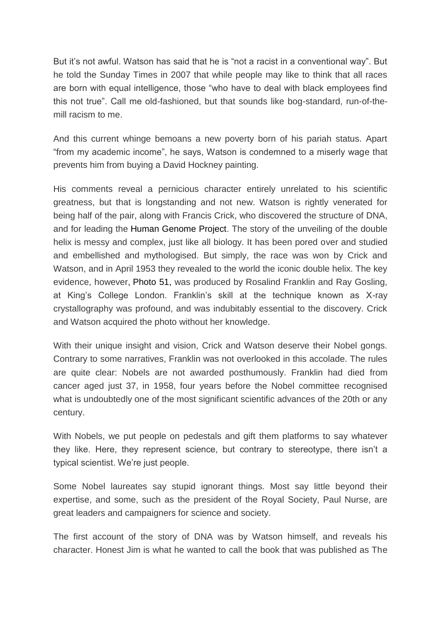But it's not awful. Watson has said that he is "not a racist in a conventional way". But he told the Sunday Times in 2007 that while people may like to think that all races are born with equal intelligence, those "who have to deal with black employees find this not true". Call me old-fashioned, but that sounds like bog-standard, run-of-themill racism to me.

And this current whinge bemoans a new poverty born of his pariah status. Apart "from my academic income", he says, Watson is condemned to a miserly wage that prevents him from buying a David Hockney painting.

His comments reveal a pernicious character entirely unrelated to his scientific greatness, but that is longstanding and not new. Watson is rightly venerated for being half of the pair, along with Francis Crick, who discovered the structure of DNA, and for leading the Human Genome Project. The story of the unveiling of the double helix is messy and complex, just like all biology. It has been pored over and studied and embellished and mythologised. But simply, the race was won by Crick and Watson, and in April 1953 they revealed to the world the iconic double helix. The key evidence, however, Photo 51, was produced by Rosalind Franklin and Ray Gosling, at King"s College London. Franklin"s skill at the technique known as X-ray crystallography was profound, and was indubitably essential to the discovery. Crick and Watson acquired the photo without her knowledge.

With their unique insight and vision, Crick and Watson deserve their Nobel gongs. Contrary to some narratives, Franklin was not overlooked in this accolade. The rules are quite clear: Nobels are not awarded posthumously. Franklin had died from cancer aged just 37, in 1958, four years before the Nobel committee recognised what is undoubtedly one of the most significant scientific advances of the 20th or any century.

With Nobels, we put people on pedestals and gift them platforms to say whatever they like. Here, they represent science, but contrary to stereotype, there isn"t a typical scientist. We"re just people.

Some Nobel laureates say stupid ignorant things. Most say little beyond their expertise, and some, such as the president of the Royal Society, Paul Nurse, are great leaders and campaigners for science and society.

The first account of the story of DNA was by Watson himself, and reveals his character. Honest Jim is what he wanted to call the book that was published as The